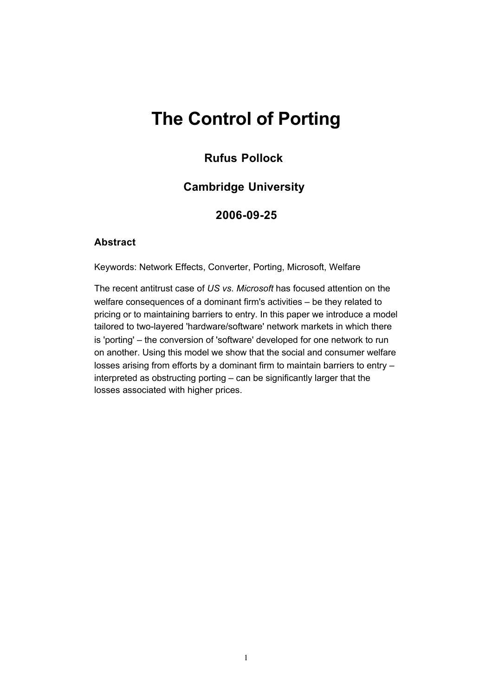# **The Control of Porting**

### **Rufus Pollock**

### **Cambridge University**

### **2006-09-25**

#### **Abstract**

Keywords: Network Effects, Converter, Porting, Microsoft, Welfare

The recent antitrust case of *US vs. Microsoft* has focused attention on the welfare consequences of a dominant firm's activities – be they related to pricing or to maintaining barriers to entry. In this paper we introduce a model tailored to two-layered 'hardware/software' network markets in which there is 'porting' – the conversion of 'software' developed for one network to run on another. Using this model we show that the social and consumer welfare losses arising from efforts by a dominant firm to maintain barriers to entry – interpreted as obstructing porting – can be significantly larger that the losses associated with higher prices.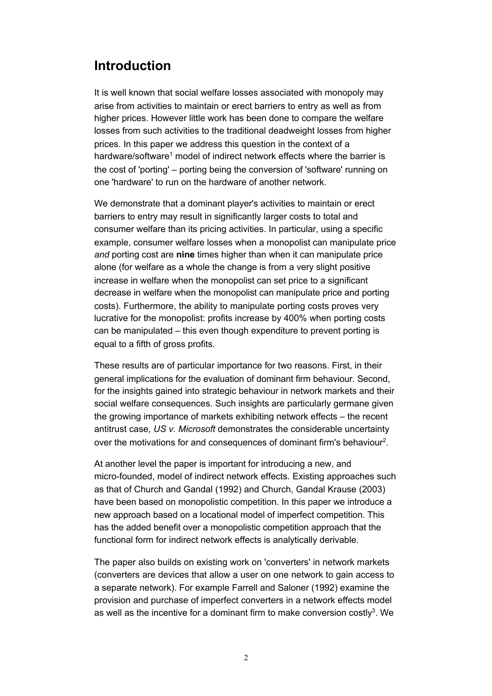## **Introduction**

It is well known that social welfare losses associated with monopoly may arise from activities to maintain or erect barriers to entry as well as from higher prices. However little work has been done to compare the welfare losses from such activities to the traditional deadweight losses from higher prices. In this paper we address this question in the context of a hardware/software<sup>1</sup> model of indirect network effects where the barrier is the cost of 'porting' – porting being the conversion of 'software' running on one 'hardware' to run on the hardware of another network.

We demonstrate that a dominant player's activities to maintain or erect barriers to entry may result in significantly larger costs to total and consumer welfare than its pricing activities. In particular, using a specific example, consumer welfare losses when a monopolist can manipulate price *and* porting cost are **nine** times higher than when it can manipulate price alone (for welfare as a whole the change is from a very slight positive increase in welfare when the monopolist can set price to a significant decrease in welfare when the monopolist can manipulate price and porting costs). Furthermore, the ability to manipulate porting costs proves very lucrative for the monopolist: profits increase by 400% when porting costs can be manipulated – this even though expenditure to prevent porting is equal to a fifth of gross profits.

These results are of particular importance for two reasons. First, in their general implications for the evaluation of dominant firm behaviour. Second, for the insights gained into strategic behaviour in network markets and their social welfare consequences. Such insights are particularly germane given the growing importance of markets exhibiting network effects – the recent antitrust case, *US v. Microsoft* demonstrates the considerable uncertainty over the motivations for and consequences of dominant firm's behaviour<sup>2</sup>.

At another level the paper is important for introducing a new, and micro-founded, model of indirect network effects. Existing approaches such as that of Church and Gandal (1992) and Church, Gandal Krause (2003) have been based on monopolistic competition. In this paper we introduce a new approach based on a locational model of imperfect competition. This has the added benefit over a monopolistic competition approach that the functional form for indirect network effects is analytically derivable.

The paper also builds on existing work on 'converters' in network markets (converters are devices that allow a user on one network to gain access to a separate network). For example Farrell and Saloner (1992) examine the provision and purchase of imperfect converters in a network effects model as well as the incentive for a dominant firm to make conversion costly<sup>3</sup>. We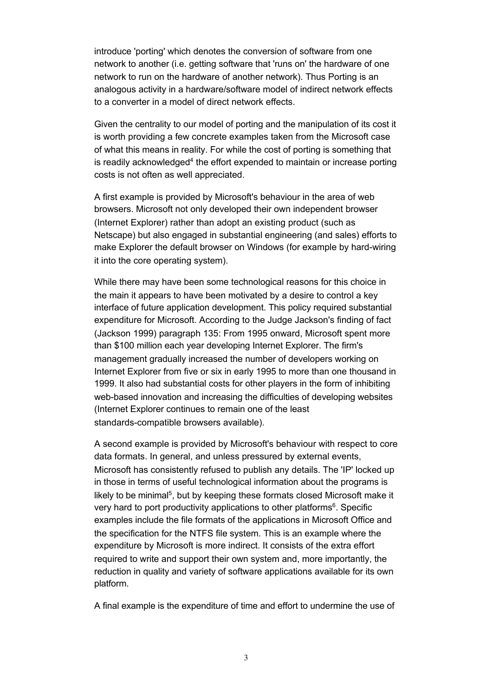introduce 'porting' which denotes the conversion of software from one network to another (i.e. getting software that 'runs on' the hardware of one network to run on the hardware of another network). Thus Porting is an analogous activity in a hardware/software model of indirect network effects to a converter in a model of direct network effects.

Given the centrality to our model of porting and the manipulation of its cost it is worth providing a few concrete examples taken from the Microsoft case of what this means in reality. For while the cost of porting is something that is readily acknowledged<sup>4</sup> the effort expended to maintain or increase porting costs is not often as well appreciated.

A first example is provided by Microsoft's behaviour in the area of web browsers. Microsoft not only developed their own independent browser (Internet Explorer) rather than adopt an existing product (such as Netscape) but also engaged in substantial engineering (and sales) efforts to make Explorer the default browser on Windows (for example by hard-wiring it into the core operating system).

While there may have been some technological reasons for this choice in the main it appears to have been motivated by a desire to control a key interface of future application development. This policy required substantial expenditure for Microsoft. According to the Judge Jackson's finding of fact (Jackson 1999) paragraph 135: From 1995 onward, Microsoft spent more than \$100 million each year developing Internet Explorer. The firm's management gradually increased the number of developers working on Internet Explorer from five or six in early 1995 to more than one thousand in 1999. It also had substantial costs for other players in the form of inhibiting web-based innovation and increasing the difficulties of developing websites (Internet Explorer continues to remain one of the least standards-compatible browsers available).

A second example is provided by Microsoft's behaviour with respect to core data formats. In general, and unless pressured by external events, Microsoft has consistently refused to publish any details. The 'IP' locked up in those in terms of useful technological information about the programs is likely to be minimal<sup>5</sup>, but by keeping these formats closed Microsoft make it very hard to port productivity applications to other platforms<sup>6</sup>. Specific examples include the file formats of the applications in Microsoft Office and the specification for the NTFS file system. This is an example where the expenditure by Microsoft is more indirect. It consists of the extra effort required to write and support their own system and, more importantly, the reduction in quality and variety of software applications available for its own platform.

A final example is the expenditure of time and effort to undermine the use of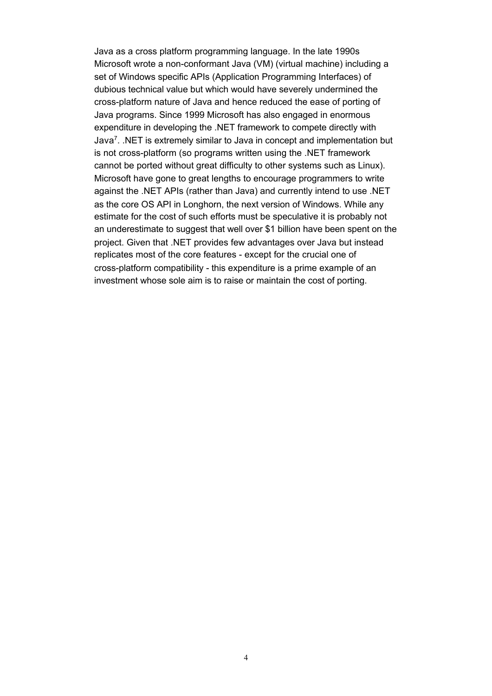Java as a cross platform programming language. In the late 1990s Microsoft wrote a non-conformant Java (VM) (virtual machine) including a set of Windows specific APIs (Application Programming Interfaces) of dubious technical value but which would have severely undermined the cross-platform nature of Java and hence reduced the ease of porting of Java programs. Since 1999 Microsoft has also engaged in enormous expenditure in developing the .NET framework to compete directly with Java7. .NET is extremely similar to Java in concept and implementation but is not cross-platform (so programs written using the .NET framework cannot be ported without great difficulty to other systems such as Linux). Microsoft have gone to great lengths to encourage programmers to write against the .NET APIs (rather than Java) and currently intend to use .NET as the core OS API in Longhorn, the next version of Windows. While any estimate for the cost of such efforts must be speculative it is probably not an underestimate to suggest that well over \$1 billion have been spent on the project. Given that .NET provides few advantages over Java but instead replicates most of the core features - except for the crucial one of cross-platform compatibility - this expenditure is a prime example of an investment whose sole aim is to raise or maintain the cost of porting.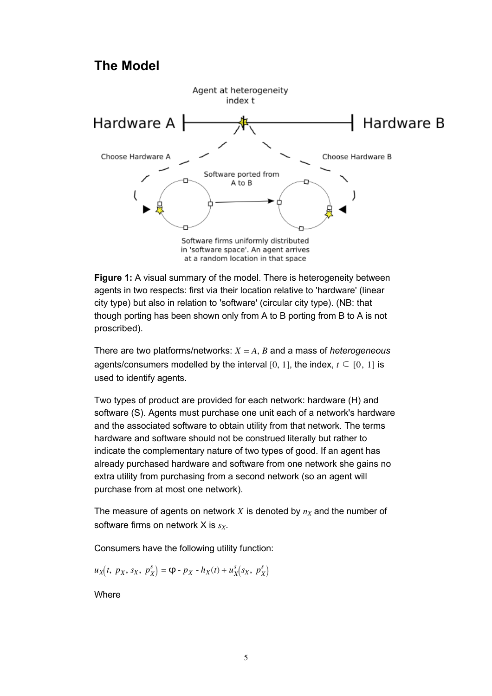### **The Model**



**Figure 1:** A visual summary of the model. There is heterogeneity between agents in two respects: first via their location relative to 'hardware' (linear city type) but also in relation to 'software' (circular city type). (NB: that though porting has been shown only from A to B porting from B to A is not proscribed).

There are two platforms/networks: *X* = *A*, *B* and a mass of *heterogeneous* agents/consumers modelled by the interval [0, 1], the index,  $t \in [0, 1]$  is used to identify agents.

Two types of product are provided for each network: hardware (H) and software (S). Agents must purchase one unit each of a network's hardware and the associated software to obtain utility from that network. The terms hardware and software should not be construed literally but rather to indicate the complementary nature of two types of good. If an agent has already purchased hardware and software from one network she gains no extra utility from purchasing from a second network (so an agent will purchase from at most one network).

The measure of agents on network  $X$  is denoted by  $n_X$  and the number of software firms on network X is  $s_X$ .

Consumers have the following utility function:

$$
u_X(t, p_X, s_X, p_X^s) = \mathbf{\Phi} - p_X - h_X(t) + u_X^s(s_X, p_X^s)
$$

**Where**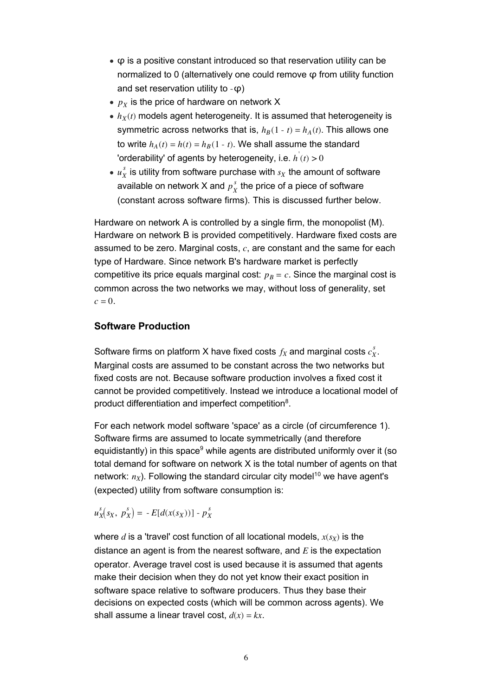- $\bullet$   $\varphi$  is a positive constant introduced so that reservation utility can be normalized to 0 (alternatively one could remove φ from utility function and set reservation utility to -φ)
- $p_X$  is the price of hardware on network X
- $\bullet$   $h_X(t)$  models agent heterogeneity. It is assumed that heterogeneity is symmetric across networks that is,  $h_B(1 - t) = h_A(t)$ . This allows one to write  $h_A(t) = h(t) = h_B(1 - t)$ . We shall assume the standard 'orderability' of agents by heterogeneity, i.e. *h*' (*t*) > 0
- $u^{\,s}_X$  is utility from software purchase with  $s_X$  the amount of software available on network X and  $p_X^s$  the price of a piece of software (constant across software firms). This is discussed further below.

Hardware on network A is controlled by a single firm, the monopolist (M). Hardware on network B is provided competitively. Hardware fixed costs are assumed to be zero. Marginal costs, *c*, are constant and the same for each type of Hardware. Since network B's hardware market is perfectly competitive its price equals marginal cost:  $p_B = c$ . Since the marginal cost is common across the two networks we may, without loss of generality, set  $c = 0$ .

### **Software Production**

Software firms on platform X have fixed costs  $f_X$  and marginal costs  $c_X^s$ . Marginal costs are assumed to be constant across the two networks but fixed costs are not. Because software production involves a fixed cost it cannot be provided competitively. Instead we introduce a locational model of product differentiation and imperfect competition8.

For each network model software 'space' as a circle (of circumference 1). Software firms are assumed to locate symmetrically (and therefore equidistantly) in this space<sup>9</sup> while agents are distributed uniformly over it (so total demand for software on network X is the total number of agents on that network:  $n_X$ ). Following the standard circular city model<sup>10</sup> we have agent's (expected) utility from software consumption is:

 $u_X^s(s_X, p_X^s) = -E[d(x(s_X))] - p_X^s$ 

where  $d$  is a 'travel' cost function of all locational models,  $x(s_X)$  is the distance an agent is from the nearest software, and *E* is the expectation operator. Average travel cost is used because it is assumed that agents make their decision when they do not yet know their exact position in software space relative to software producers. Thus they base their decisions on expected costs (which will be common across agents). We shall assume a linear travel cost,  $d(x) = kx$ .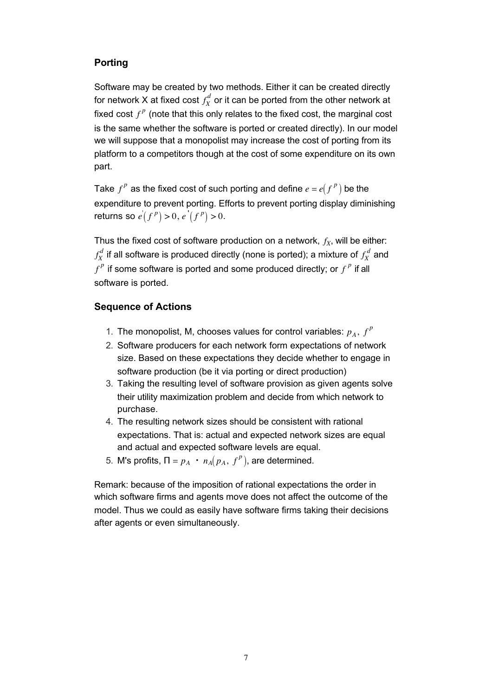### **Porting**

Software may be created by two methods. Either it can be created directly for network X at fixed cost  $f_X^d$  or it can be ported from the other network at fixed cost  $f^p$  (note that this only relates to the fixed cost, the marginal cost is the same whether the software is ported or created directly). In our model we will suppose that a monopolist may increase the cost of porting from its platform to a competitors though at the cost of some expenditure on its own part.

Take  $f^p$  as the fixed cost of such porting and define  $e = e(f^p)$  be the expenditure to prevent porting. Efforts to prevent porting display diminishing returns so  $e^{'}(f^{p}) > 0, e^{'}(f^{p}) > 0.$ 

Thus the fixed cost of software production on a network,  $f_X$ , will be either:  $f_X^{\omega}$  $\frac{d}{d}$  if all software is produced directly (none is ported); a mixture of  $f^{~d}_{X}$  and  $f^p$  if some software is ported and some produced directly; or  $f^p$  if all software is ported.

### **Sequence of Actions**

- 1. The monopolist, M, chooses values for control variables:  $p_A$ ,  $f^P$
- 2. Software producers for each network form expectations of network size. Based on these expectations they decide whether to engage in software production (be it via porting or direct production)
- 3. Taking the resulting level of software provision as given agents solve their utility maximization problem and decide from which network to purchase.
- The resulting network sizes should be consistent with rational 4. expectations. That is: actual and expected network sizes are equal and actual and expected software levels are equal.
- 5. M's profits,  $\Pi = p_A \cdot n_A(p_A, f^P)$ , are determined.

Remark: because of the imposition of rational expectations the order in which software firms and agents move does not affect the outcome of the model. Thus we could as easily have software firms taking their decisions after agents or even simultaneously.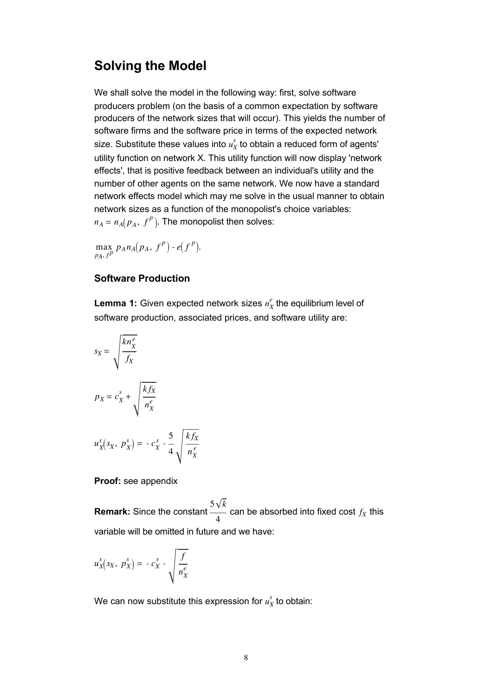### **Solving the Model**

We shall solve the model in the following way: first, solve software producers problem (on the basis of a common expectation by software producers of the network sizes that will occur). This yields the number of software firms and the software price in terms of the expected network size. Substitute these values into  $u^s_X$  to obtain a reduced form of agents' utility function on network X. This utility function will now display 'network effects', that is positive feedback between an individual's utility and the number of other agents on the same network. We now have a standard network effects model which may me solve in the usual manner to obtain network sizes as a function of the monopolist's choice variables:  $n_A = n_A(p_A, f^P)$ . The monopolist then solves:

max  $\max_{p_A, f^p} p_A n_A(p_A, f^p) - e(f^p).$ 

### **Software Production**

**Lemma 1:** Given expected network sizes  $n_X^e$  the equilibrium level of software production, associated prices, and software utility are:

$$
s_X = \sqrt{\frac{kn_X^e}{f_X}}
$$
  

$$
p_X = c_X^s + \sqrt{\frac{kf_X}{n_X^e}}
$$
  

$$
u_X^s(s_X, p_X^s) = -c_X^s - \frac{5}{4} \sqrt{\frac{kf_X^s}{n_X^s}}
$$

#### **Proof:** see appendix

**Remark:** Since the constant  $5\sqrt{k}$  $\frac{1}{4}$  can be absorbed into fixed cost  $f_X$  this variable will be omitted in future and we have:

$$
u_X^s(s_X, p_X^s) = -c_X^s - \sqrt{\frac{f}{n_X^e}}
$$

We can now substitute this expression for  $u^s_X$  to obtain:

*k fX*  $n_X^e$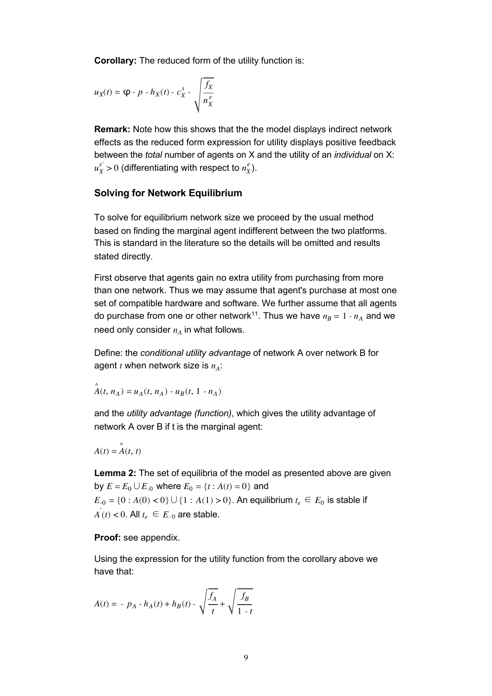**Corollary:** The reduced form of the utility function is:

$$
u_X(t) = \mathbf{\varphi} \cdot p \cdot h_X(t) \cdot c_X^s \cdot \sqrt{\frac{f_X}{n_X^e}}
$$

**Remark:** Note how this shows that the the model displays indirect network effects as the reduced form expression for utility displays positive feedback between the *total* number of agents on X and the utility of an *individual* on X:  $u_X^{s'}$  > 0 (differentiating with respect to  $n_X^e$ ).

#### **Solving for Network Equilibrium**

To solve for equilibrium network size we proceed by the usual method based on finding the marginal agent indifferent between the two platforms. This is standard in the literature so the details will be omitted and results stated directly.

First observe that agents gain no extra utility from purchasing from more than one network. Thus we may assume that agent's purchase at most one set of compatible hardware and software. We further assume that all agents do purchase from one or other network<sup>11</sup>. Thus we have  $n_B = 1 - n_A$  and we need only consider  $n_A$  in what follows.

Define: the *conditional utility advantage* of network A over network B for agent  $t$  when network size is  $n_A$ :

$$
\mathring{A}(t, n_A) = u_A(t, n_A) - u_B(t, 1 - n_A)
$$

and the *utility advantage (function)*, which gives the utility advantage of network A over B if t is the marginal agent:

$$
A(t) = \mathop{A}\limits^\wedge(t, t)
$$

**Lemma 2:** The set of equilibria of the model as presented above are given **by**  $E = E_0 ∪ E_{0}$  where  $E_0 = {t : A(t) = 0}$  and  $E_{-0} = \{0 : A(0) < 0\} \cup \{1 : A(1) > 0\}$ . An equilibrium  $t_e \in E_0$  is stable if  $\overline{A}(t)$  < 0. All  $t_e \in E_{-0}$  are stable.

**Proof:** see appendix.

Using the expression for the utility function from the corollary above we have that:

$$
A(t) = -p_A - h_A(t) + h_B(t) - \sqrt{\frac{f_A}{t}} + \sqrt{\frac{f_B}{1 - t}}
$$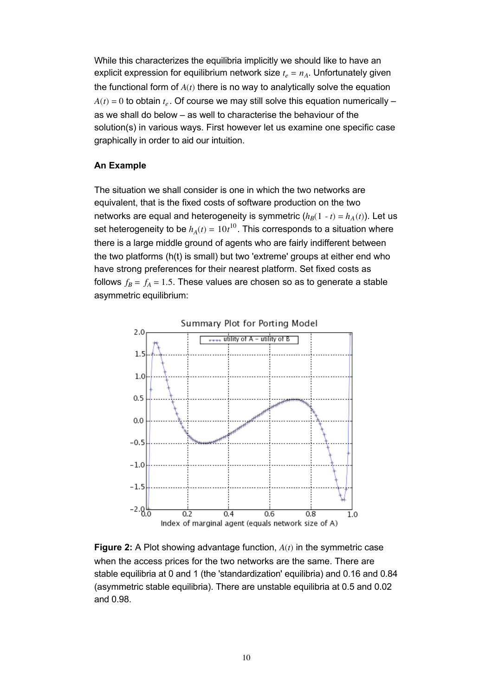While this characterizes the equilibria implicitly we should like to have an explicit expression for equilibrium network size  $t_e = n_A$ . Unfortunately given the functional form of *A*(*t*) there is no way to analytically solve the equation  $A(t) = 0$  to obtain  $t_e$ . Of course we may still solve this equation numerically – as we shall do below – as well to characterise the behaviour of the solution(s) in various ways. First however let us examine one specific case graphically in order to aid our intuition.

#### **An Example**

The situation we shall consider is one in which the two networks are equivalent, that is the fixed costs of software production on the two networks are equal and heterogeneity is symmetric  $(h_B(1 - t) = h_A(t))$ . Let us set heterogeneity to be  $h_A(t)=10t^{10}$ . This corresponds to a situation where there is a large middle ground of agents who are fairly indifferent between the two platforms (h(t) is small) but two 'extreme' groups at either end who have strong preferences for their nearest platform. Set fixed costs as follows  $f_B = f_A = 1.5$ . These values are chosen so as to generate a stable asymmetric equilibrium:



**Figure 2:** A Plot showing advantage function, *A*(*t*) in the symmetric case when the access prices for the two networks are the same. There are stable equilibria at 0 and 1 (the 'standardization' equilibria) and 0.16 and 0.84 (asymmetric stable equilibria). There are unstable equilibria at 0.5 and 0.02 and 0.98.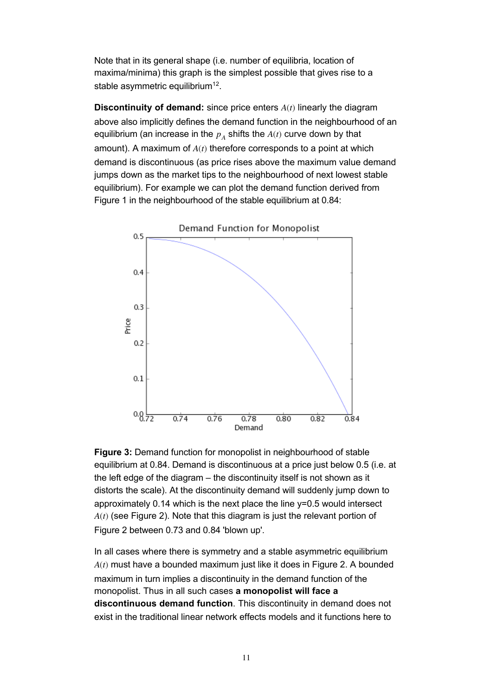Note that in its general shape (i.e. number of equilibria, location of maxima/minima) this graph is the simplest possible that gives rise to a stable asymmetric equilibrium<sup>12</sup>.

**Discontinuity of demand:** since price enters *A*(*t*) linearly the diagram above also implicitly defines the demand function in the neighbourhood of an equilibrium (an increase in the  $p_A$  shifts the  $A(t)$  curve down by that amount). A maximum of *A*(*t*) therefore corresponds to a point at which demand is discontinuous (as price rises above the maximum value demand jumps down as the market tips to the neighbourhood of next lowest stable equilibrium). For example we can plot the demand function derived from Figure 1 in the neighbourhood of the stable equilibrium at 0.84:



**Figure 3:** Demand function for monopolist in neighbourhood of stable equilibrium at 0.84. Demand is discontinuous at a price just below 0.5 (i.e. at the left edge of the diagram – the discontinuity itself is not shown as it distorts the scale). At the discontinuity demand will suddenly jump down to approximately 0.14 which is the next place the line y=0.5 would intersect *A*(*t*) (see Figure 2). Note that this diagram is just the relevant portion of Figure 2 between 0.73 and 0.84 'blown up'.

In all cases where there is symmetry and a stable asymmetric equilibrium *A*(*t*) must have a bounded maximum just like it does in Figure 2. A bounded maximum in turn implies a discontinuity in the demand function of the monopolist. Thus in all such cases **a monopolist will face a discontinuous demand function**. This discontinuity in demand does not exist in the traditional linear network effects models and it functions here to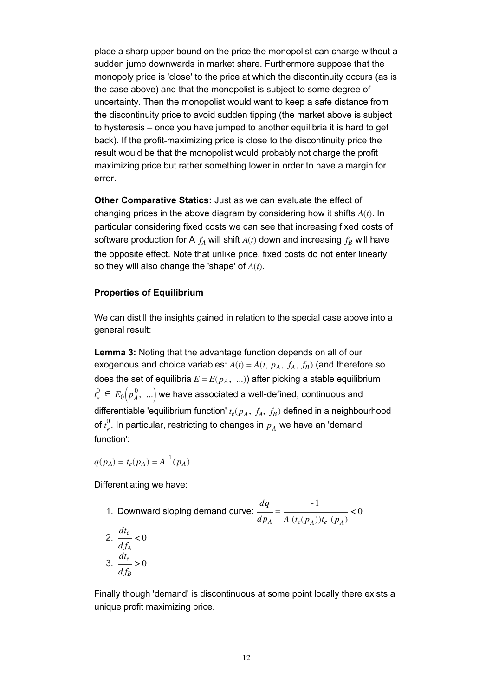place a sharp upper bound on the price the monopolist can charge without a sudden jump downwards in market share. Furthermore suppose that the monopoly price is 'close' to the price at which the discontinuity occurs (as is the case above) and that the monopolist is subject to some degree of uncertainty. Then the monopolist would want to keep a safe distance from the discontinuity price to avoid sudden tipping (the market above is subject to hysteresis – once you have jumped to another equilibria it is hard to get back). If the profit-maximizing price is close to the discontinuity price the result would be that the monopolist would probably not charge the profit maximizing price but rather something lower in order to have a margin for error.

**Other Comparative Statics:** Just as we can evaluate the effect of changing prices in the above diagram by considering how it shifts *A*(*t*). In particular considering fixed costs we can see that increasing fixed costs of software production for A  $f_A$  will shift  $A(t)$  down and increasing  $f_B$  will have the opposite effect. Note that unlike price, fixed costs do not enter linearly so they will also change the 'shape' of *A*(*t*).

#### **Properties of Equilibrium**

We can distill the insights gained in relation to the special case above into a general result:

**Lemma 3:** Noting that the advantage function depends on all of our exogenous and choice variables:  $A(t) = A(t, p_A, f_A, f_B)$  (and therefore so does the set of equilibria  $E = E(p_A, \ldots)$ ) after picking a stable equilibrium  $t_{e}^{0}\in E_{0}\big(\rho_{A}^{\;0},\;\mathit{...}\big)$  we have associated a well-defined, continuous and differentiable 'equilibrium function'  $t_e(p_A, f_A, f_B)$  defined in a neighbourhood of *t e*  $_{e}^{0}$ . In particular, restricting to changes in  $\emph{p}_{A}$  we have an 'demand function':

 $q(p_A) = t_e(p_A) = A^{-1}(p_A)$ 

Differentiating we have:

\n- 1. Downward sloping demand curve: 
$$
\frac{dq}{dp_A} = \frac{-1}{A'(t_e(p_A))t_e'(p_A)} < 0
$$
\n- 2.  $\frac{dt_e}{df_A} < 0$
\n- 3.  $\frac{dt_e}{df_B} > 0$
\n

Finally though 'demand' is discontinuous at some point locally there exists a unique profit maximizing price.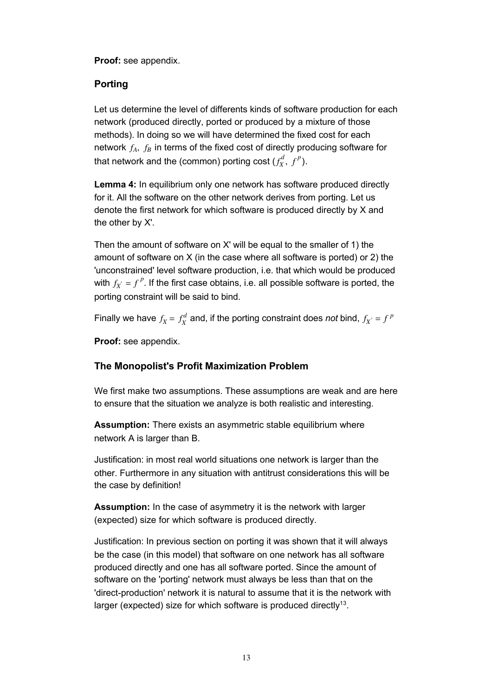**Proof:** see appendix.

### **Porting**

Let us determine the level of differents kinds of software production for each network (produced directly, ported or produced by a mixture of those methods). In doing so we will have determined the fixed cost for each network  $f_A$ ,  $f_B$  in terms of the fixed cost of directly producing software for that network and the (common) porting cost  $(f_X^d, \, f^p).$ 

**Lemma 4:** In equilibrium only one network has software produced directly for it. All the software on the other network derives from porting. Let us denote the first network for which software is produced directly by X and the other by X'.

Then the amount of software on X' will be equal to the smaller of 1) the amount of software on X (in the case where all software is ported) or 2) the 'unconstrained' level software production, i.e. that which would be produced with  $f_{X^{'}} = f^{P}$ . If the first case obtains, i.e. all possible software is ported, the porting constraint will be said to bind.

Finally we have  $f_X = f_X^d$  and, if the porting constraint does *not* bind,  $f_{X^{'}} = f^{\,p}$ 

**Proof:** see appendix.

### **The Monopolist's Profit Maximization Problem**

We first make two assumptions. These assumptions are weak and are here to ensure that the situation we analyze is both realistic and interesting.

**Assumption:** There exists an asymmetric stable equilibrium where network A is larger than B.

Justification: in most real world situations one network is larger than the other. Furthermore in any situation with antitrust considerations this will be the case by definition!

**Assumption:** In the case of asymmetry it is the network with larger (expected) size for which software is produced directly.

Justification: In previous section on porting it was shown that it will always be the case (in this model) that software on one network has all software produced directly and one has all software ported. Since the amount of software on the 'porting' network must always be less than that on the 'direct-production' network it is natural to assume that it is the network with larger (expected) size for which software is produced directly<sup>13</sup>.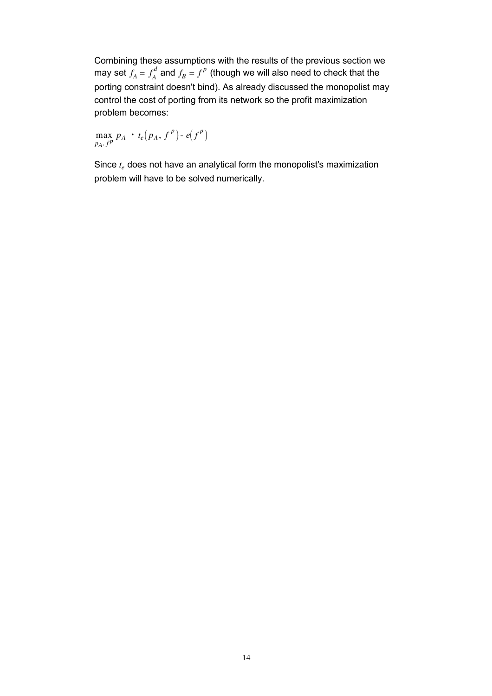Combining these assumptions with the results of the previous section we may set  $f_A = f_A^a$  $d\overline{f}_A$  and  $f_B = f^P$  (though we will also need to check that the porting constraint doesn't bind). As already discussed the monopolist may control the cost of porting from its network so the profit maximization problem becomes:

max  $\max_{p_A, f^p} p_A \cdot t_e(p_A, f^p) \cdot e(f^p)$ 

Since *te* does not have an analytical form the monopolist's maximization problem will have to be solved numerically.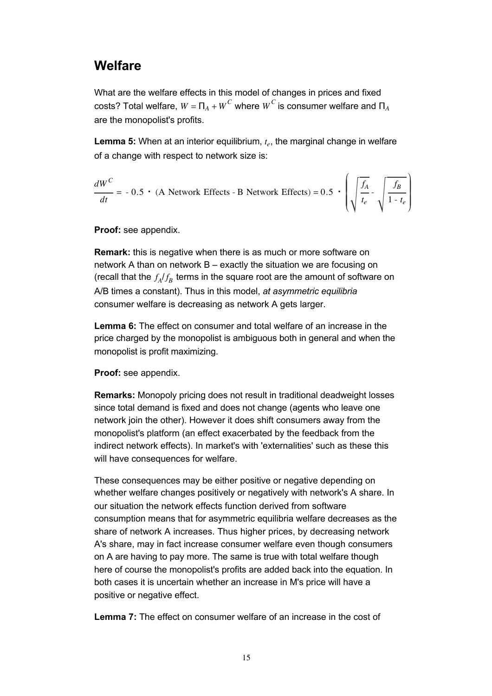### **Welfare**

What are the welfare effects in this model of changes in prices and fixed  $\cos$ ts? Total welfare,  $W = \Pi_A + \overline{W}^C$  where  $\overline{W}^C$  is consumer welfare and  $\Pi_A$ are the monopolist's profits.

**Lemma 5:** When at an interior equilibrium,  $t_e$ , the marginal change in welfare of a change with respect to network size is:

$$
\frac{dW^C}{dt} = -0.5 \cdot (A \text{ Network Effects - B Network Effects}) = 0.5 \cdot \left(\sqrt{\frac{f_A}{t_e}} - \sqrt{\frac{f_B}{1 - t_e}}\right)
$$

### **Proof:** see appendix.

**Remark:** this is negative when there is as much or more software on network A than on network B – exactly the situation we are focusing on (recall that the  $f_A/f_B$  terms in the square root are the amount of software on A/B times a constant). Thus in this model, *at asymmetric equilibria* consumer welfare is decreasing as network A gets larger.

**Lemma 6:** The effect on consumer and total welfare of an increase in the price charged by the monopolist is ambiguous both in general and when the monopolist is profit maximizing.

**Proof:** see appendix.

**Remarks:** Monopoly pricing does not result in traditional deadweight losses since total demand is fixed and does not change (agents who leave one network join the other). However it does shift consumers away from the monopolist's platform (an effect exacerbated by the feedback from the indirect network effects). In market's with 'externalities' such as these this will have consequences for welfare.

These consequences may be either positive or negative depending on whether welfare changes positively or negatively with network's A share. In our situation the network effects function derived from software consumption means that for asymmetric equilibria welfare decreases as the share of network A increases. Thus higher prices, by decreasing network A's share, may in fact increase consumer welfare even though consumers on A are having to pay more. The same is true with total welfare though here of course the monopolist's profits are added back into the equation. In both cases it is uncertain whether an increase in M's price will have a positive or negative effect.

**Lemma 7:** The effect on consumer welfare of an increase in the cost of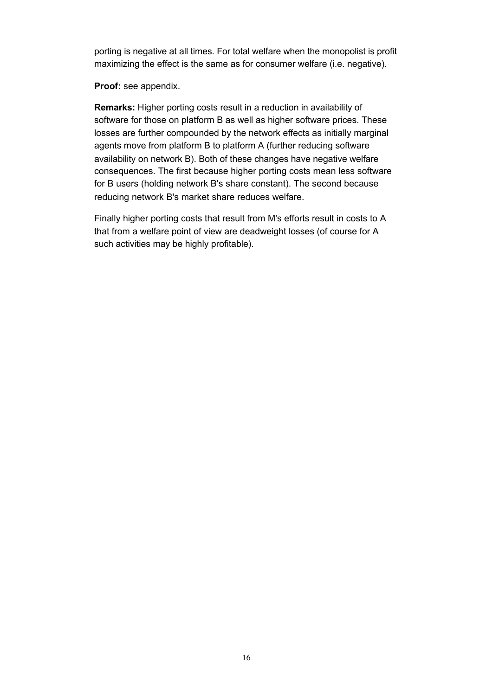porting is negative at all times. For total welfare when the monopolist is profit maximizing the effect is the same as for consumer welfare (i.e. negative).

**Proof:** see appendix.

**Remarks:** Higher porting costs result in a reduction in availability of software for those on platform B as well as higher software prices. These losses are further compounded by the network effects as initially marginal agents move from platform B to platform A (further reducing software availability on network B). Both of these changes have negative welfare consequences. The first because higher porting costs mean less software for B users (holding network B's share constant). The second because reducing network B's market share reduces welfare.

Finally higher porting costs that result from M's efforts result in costs to A that from a welfare point of view are deadweight losses (of course for A such activities may be highly profitable).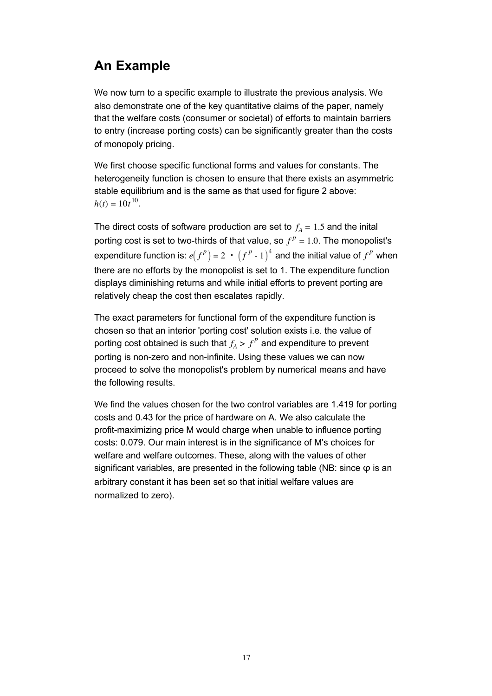# **An Example**

We now turn to a specific example to illustrate the previous analysis. We also demonstrate one of the key quantitative claims of the paper, namely that the welfare costs (consumer or societal) of efforts to maintain barriers to entry (increase porting costs) can be significantly greater than the costs of monopoly pricing.

We first choose specific functional forms and values for constants. The heterogeneity function is chosen to ensure that there exists an asymmetric stable equilibrium and is the same as that used for figure 2 above:  $h(t) = 10t^{10}$ .

The direct costs of software production are set to  $f_A = 1.5$  and the inital porting cost is set to two-thirds of that value, so  $f^p = 1.0$ . The monopolist's expenditure function is:  $e(f^p) = 2 \cdot (f^p \cdot 1)^4$  and the initial value of  $f^p$  when there are no efforts by the monopolist is set to 1. The expenditure function displays diminishing returns and while initial efforts to prevent porting are relatively cheap the cost then escalates rapidly.

The exact parameters for functional form of the expenditure function is chosen so that an interior 'porting cost' solution exists i.e. the value of porting cost obtained is such that  $f_A>f^p$  and expenditure to prevent porting is non-zero and non-infinite. Using these values we can now proceed to solve the monopolist's problem by numerical means and have the following results.

We find the values chosen for the two control variables are 1.419 for porting costs and 0.43 for the price of hardware on A. We also calculate the profit-maximizing price M would charge when unable to influence porting costs: 0.079. Our main interest is in the significance of M's choices for welfare and welfare outcomes. These, along with the values of other significant variables, are presented in the following table (NB: since  $\varphi$  is an arbitrary constant it has been set so that initial welfare values are normalized to zero).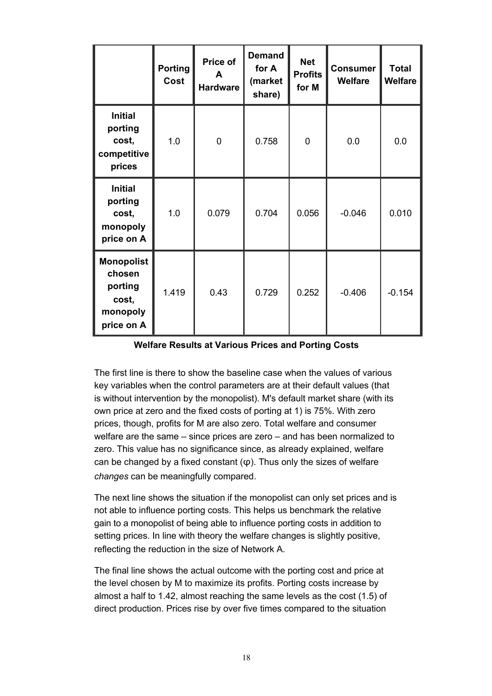|                                                                           | <b>Porting</b><br>Cost | Price of<br>A<br><b>Hardware</b> | <b>Demand</b><br>for A<br>(market<br>share) | <b>Net</b><br><b>Profits</b><br>for M | <b>Consumer</b><br><b>Welfare</b> | <b>Total</b><br><b>Welfare</b> |
|---------------------------------------------------------------------------|------------------------|----------------------------------|---------------------------------------------|---------------------------------------|-----------------------------------|--------------------------------|
| <b>Initial</b><br>porting<br>cost,<br>competitive<br>prices               | 1.0                    | $\overline{0}$                   | 0.758                                       | $\overline{0}$                        | 0.0                               | 0.0                            |
| <b>Initial</b><br>porting<br>cost,<br>monopoly<br>price on A              | 1.0                    | 0.079                            | 0.704                                       | 0.056                                 | $-0.046$                          | 0.010                          |
| <b>Monopolist</b><br>chosen<br>porting<br>cost,<br>monopoly<br>price on A | 1.419                  | 0.43                             | 0.729                                       | 0.252                                 | $-0.406$                          | $-0.154$                       |

**Welfare Results at Various Prices and Porting Costs**

The first line is there to show the baseline case when the values of various key variables when the control parameters are at their default values (that is without intervention by the monopolist). M's default market share (with its own price at zero and the fixed costs of porting at 1) is 75%. With zero prices, though, profits for M are also zero. Total welfare and consumer welfare are the same – since prices are zero – and has been normalized to zero. This value has no significance since, as already explained, welfare can be changed by a fixed constant  $(\varphi)$ . Thus only the sizes of welfare *changes* can be meaningfully compared.

The next line shows the situation if the monopolist can only set prices and is not able to influence porting costs. This helps us benchmark the relative gain to a monopolist of being able to influence porting costs in addition to setting prices. In line with theory the welfare changes is slightly positive, reflecting the reduction in the size of Network A.

The final line shows the actual outcome with the porting cost and price at the level chosen by M to maximize its profits. Porting costs increase by almost a half to 1.42, almost reaching the same levels as the cost (1.5) of direct production. Prices rise by over five times compared to the situation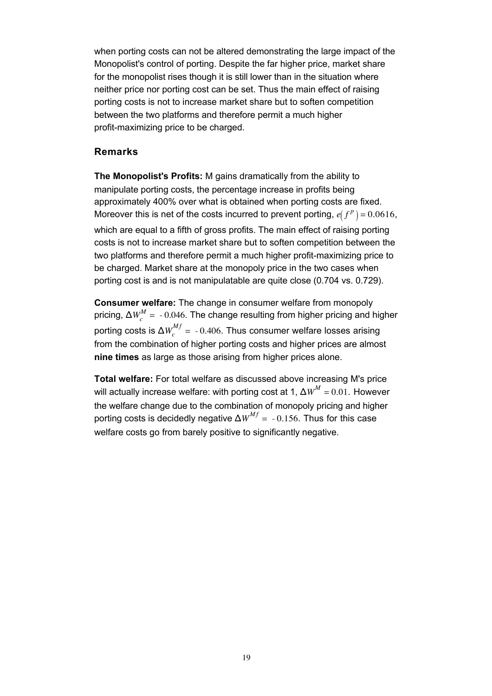when porting costs can not be altered demonstrating the large impact of the Monopolist's control of porting. Despite the far higher price, market share for the monopolist rises though it is still lower than in the situation where neither price nor porting cost can be set. Thus the main effect of raising porting costs is not to increase market share but to soften competition between the two platforms and therefore permit a much higher profit-maximizing price to be charged.

### **Remarks**

**The Monopolist's Profits:** M gains dramatically from the ability to manipulate porting costs, the percentage increase in profits being approximately 400% over what is obtained when porting costs are fixed. Moreover this is net of the costs incurred to prevent porting,  $e(f^p) = 0.0616$ , which are equal to a fifth of gross profits. The main effect of raising porting costs is not to increase market share but to soften competition between the two platforms and therefore permit a much higher profit-maximizing price to be charged. Market share at the monopoly price in the two cases when porting cost is and is not manipulatable are quite close (0.704 vs. 0.729).

**Consumer welfare:** The change in consumer welfare from monopoly pricing, Δ $W_c^M$  =  $-0.046$ . The change resulting from higher pricing and higher porting costs is Δ $W_c^{Mf}$  =  $\,$  - 0.406. Thus consumer welfare losses arising from the combination of higher porting costs and higher prices are almost **nine times** as large as those arising from higher prices alone.

**Total welfare:** For total welfare as discussed above increasing M's price will actually increase welfare: with porting cost at 1,  $\Delta W^M = 0.01$ . However the welfare change due to the combination of monopoly pricing and higher porting costs is decidedly negative  $\Delta W^{Mf}$  = -0.156. Thus for this case welfare costs go from barely positive to significantly negative.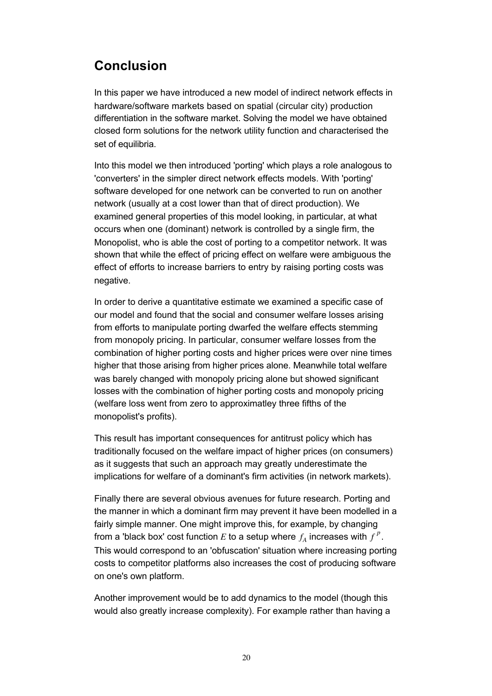# **Conclusion**

In this paper we have introduced a new model of indirect network effects in hardware/software markets based on spatial (circular city) production differentiation in the software market. Solving the model we have obtained closed form solutions for the network utility function and characterised the set of equilibria.

Into this model we then introduced 'porting' which plays a role analogous to 'converters' in the simpler direct network effects models. With 'porting' software developed for one network can be converted to run on another network (usually at a cost lower than that of direct production). We examined general properties of this model looking, in particular, at what occurs when one (dominant) network is controlled by a single firm, the Monopolist, who is able the cost of porting to a competitor network. It was shown that while the effect of pricing effect on welfare were ambiguous the effect of efforts to increase barriers to entry by raising porting costs was negative.

In order to derive a quantitative estimate we examined a specific case of our model and found that the social and consumer welfare losses arising from efforts to manipulate porting dwarfed the welfare effects stemming from monopoly pricing. In particular, consumer welfare losses from the combination of higher porting costs and higher prices were over nine times higher that those arising from higher prices alone. Meanwhile total welfare was barely changed with monopoly pricing alone but showed significant losses with the combination of higher porting costs and monopoly pricing (welfare loss went from zero to approximatley three fifths of the monopolist's profits).

This result has important consequences for antitrust policy which has traditionally focused on the welfare impact of higher prices (on consumers) as it suggests that such an approach may greatly underestimate the implications for welfare of a dominant's firm activities (in network markets).

Finally there are several obvious avenues for future research. Porting and the manner in which a dominant firm may prevent it have been modelled in a fairly simple manner. One might improve this, for example, by changing from a 'black box' cost function  $E$  to a setup where  $f_A$  increases with  $f^{\,p}$ . This would correspond to an 'obfuscation' situation where increasing porting costs to competitor platforms also increases the cost of producing software on one's own platform.

Another improvement would be to add dynamics to the model (though this would also greatly increase complexity). For example rather than having a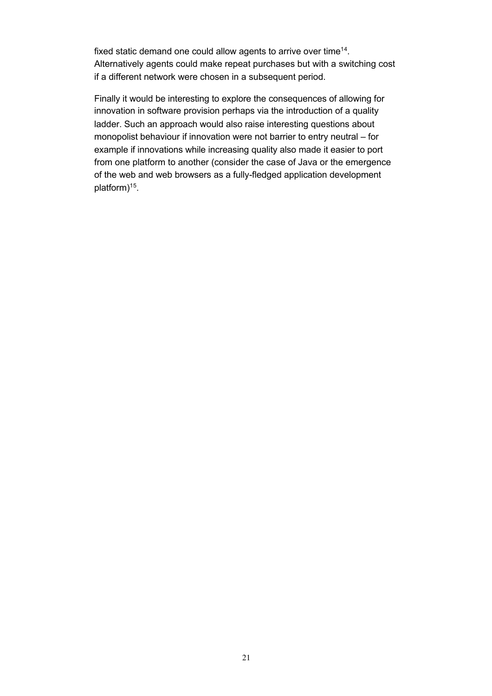fixed static demand one could allow agents to arrive over time<sup>14</sup>. Alternatively agents could make repeat purchases but with a switching cost if a different network were chosen in a subsequent period.

Finally it would be interesting to explore the consequences of allowing for innovation in software provision perhaps via the introduction of a quality ladder. Such an approach would also raise interesting questions about monopolist behaviour if innovation were not barrier to entry neutral – for example if innovations while increasing quality also made it easier to port from one platform to another (consider the case of Java or the emergence of the web and web browsers as a fully-fledged application development platform)15.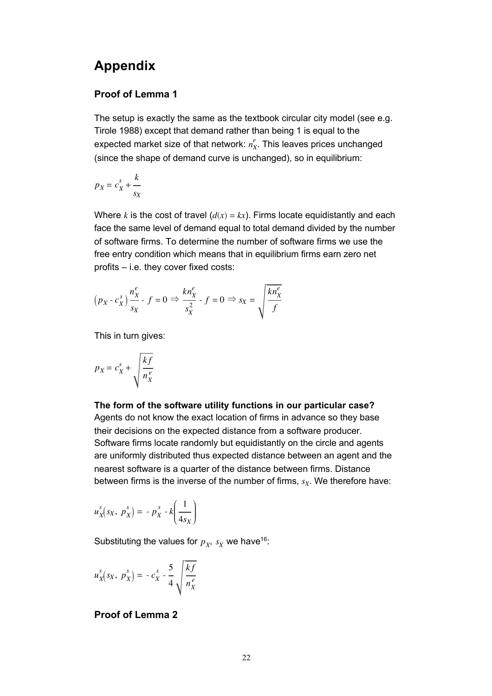### **Appendix**

### **Proof of Lemma 1**

The setup is exactly the same as the textbook circular city model (see e.g. Tirole 1988) except that demand rather than being 1 is equal to the expected market size of that network:  $n_X^e$ . This leaves prices unchanged (since the shape of demand curve is unchanged), so in equilibrium:

$$
p_X = c_X^s + \frac{k}{s_X}
$$

Where *k* is the cost of travel  $(d(x) = kx)$ . Firms locate equidistantly and each face the same level of demand equal to total demand divided by the number of software firms. To determine the number of software firms we use the free entry condition which means that in equilibrium firms earn zero net profits – i.e. they cover fixed costs:

$$
(p_X - c_X^s) \frac{n_X^e}{s_X} - f = 0 \Rightarrow \frac{k n_X^e}{s_X^2} - f = 0 \Rightarrow s_X = \sqrt{\frac{k n_X^e}{f}}
$$

This in turn gives:

$$
p_X = c_X^s + \sqrt{\frac{kf}{n_X^e}}
$$

# **The form of the software utility functions in our particular case?**

Agents do not know the exact location of firms in advance so they base their decisions on the expected distance from a software producer. Software firms locate randomly but equidistantly on the circle and agents are uniformly distributed thus expected distance between an agent and the nearest software is a quarter of the distance between firms. Distance between firms is the inverse of the number of firms,  $s_X$ . We therefore have:

$$
u_X^s(s_X, p_X^s) = -p_X^s - k\left(\frac{1}{4s_X}\right)
$$

Substituting the values for  $p_X$ ,  $s_X$  we have<sup>16</sup>:

$$
u_X^s(s_X, p_X^s) = -c_X^s - \frac{5}{4} \sqrt{\frac{kf}{n_X^e}}
$$

### **Proof of Lemma 2**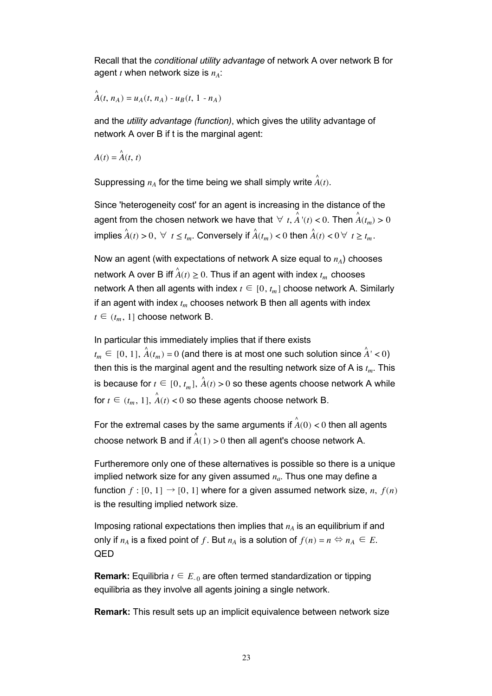Recall that the *conditional utility advantage* of network A over network B for agent  $t$  when network size is  $n_A$ :

 $\stackrel{A}{A}(t, n_A) = u_A(t, n_A) - u_B(t, 1 - n_A)$ 

and the *utility advantage (function)*, which gives the utility advantage of network A over B if t is the marginal agent:

 $A(t) = \mathring{A}(t, t)$ 

Suppressing  $n_A$  for the time being we shall simply write  $\hat{\vec{A}}(t)$ .

Since 'heterogeneity cost' for an agent is increasing in the distance of the agent from the chosen network we have that  $\forall$   $t,$   $\overset{\wedge}{A}$  '( $t$ ) < 0. Then  $\overset{\wedge}{A}(t_m)$  > 0  $\hat{A}(t) > 0, \forall t \leq t_m.$  Conversely if  $\hat{A}(t_m) < 0$  then  $\hat{A}(t) < 0 \forall t \geq t_m.$ 

Now an agent (with expectations of network A size equal to  $n_A$ ) chooses network A over B iff  $\hat{A}(t) \geq 0$ . Thus if an agent with index  $t_m$  chooses network A then all agents with index  $t \in [0, t_m]$  choose network A. Similarly if an agent with index  $t_m$  chooses network B then all agents with index  $t \in (t_m, 1]$  choose network B.

In particular this immediately implies that if there exists

 $t_m \in [0, 1]$ ,  $\hat{A}(t_m) = 0$  (and there is at most one such solution since  $\hat{A}' < 0$ ) then this is the marginal agent and the resulting network size of  $A$  is  $t_m$ . This is because for  $t \in [0, t_m], \hat{A}(t) > 0$  so these agents choose network A while for  $t \in (t_m, 1]$ ,  $\overrightarrow{A}(t) < 0$  so these agents choose network B.

For the extremal cases by the same arguments if  $\hat{\vec{A}}(0) < 0$  then all agents choose network B and if  $\overset{\wedge}{A}(1)$   $>$  0 then all agent's choose network A.

Furtheremore only one of these alternatives is possible so there is a unique implied network size for any given assumed  $n_a$ . Thus one may define a function  $f : [0, 1] \rightarrow [0, 1]$  where for a given assumed network size, *n*,  $f(n)$ is the resulting implied network size.

Imposing rational expectations then implies that  $n_A$  is an equilibrium if and only if  $n_A$  is a fixed point of f. But  $n_A$  is a solution of  $f(n) = n \Leftrightarrow n_A \in E$ . QED

**Remark:** Equilibria  $t \in E_{0}$  are often termed standardization or tipping equilibria as they involve all agents joining a single network.

**Remark:** This result sets up an implicit equivalence between network size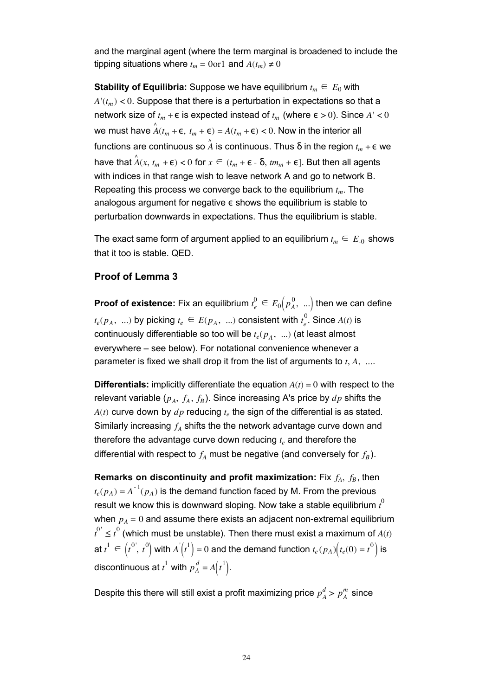and the marginal agent (where the term marginal is broadened to include the tipping situations where  $t_m = 0$ or1 and  $A(t_m) \neq 0$ 

**Stability of Equilibria:** Suppose we have equilibrium  $t_m \n\t\in E_0$  with  $A'(t_m) < 0$ . Suppose that there is a perturbation in expectations so that a network size of  $t_m + \epsilon$  is expected instead of  $t_m$  (where  $\epsilon > 0$ ). Since  $A' < 0$ we must have  $\hat{A}(t_m + \epsilon, t_m + \epsilon) = A(t_m + \epsilon) < 0$ . Now in the interior all functions are continuous so  $\hat{A}$  is continuous. Thus δ in the region  $t_m$  + ε we have that  $\hat{A}(x, t_m + \epsilon) < 0$  for  $x \in (t_m + \epsilon - \delta, tm_m + \epsilon]$ . But then all agents with indices in that range wish to leave network A and go to network B. Repeating this process we converge back to the equilibrium *tm*. The analogous argument for negative ε shows the equilibrium is stable to perturbation downwards in expectations. Thus the equilibrium is stable.

The exact same form of argument applied to an equilibrium  $t_m \n\t\in E_{-0}$  shows that it too is stable. QED.

#### **Proof of Lemma 3**

**Proof of existence:** Fix an equilibrium  $t_{e}^{0} \in E_{0}\big(p_{A}^{0}, \; ... \big)$  then we can define  $t_e(p_A, \ ...)$  by picking  $t_e \in E(p_A, \ ...)$  consistent with  $t_e^{\text{tr}}$  $_{e}^{0}$ . Since  $A(t)$  is continuously differentiable so too will be  $t_e(p_A, \ldots)$  (at least almost everywhere – see below). For notational convenience whenever a parameter is fixed we shall drop it from the list of arguments to *t*, *A*, ....

**Differentials:** implicitly differentiate the equation  $A(t) = 0$  with respect to the relevant variable  $(p_A, f_A, f_B)$ . Since increasing A's price by  $dp$  shifts the  $A(t)$  curve down by  $dp$  reducing  $t_e$  the sign of the differential is as stated. Similarly increasing  $f_A$  shifts the the network advantage curve down and therefore the advantage curve down reducing  $t_e$  and therefore the differential with respect to  $f_A$  must be negative (and conversely for  $f_B$ ).

**Remarks on discontinuity and profit maximization:** Fix  $f_A$ ,  $f_B$ , then  $t_e(p_A) = A^{-1}(p_A)$  is the demand function faced by M. From the previous result we know this is downward sloping. Now take a stable equilibrium  $\it t^{0}$ when  $p_A = 0$  and assume there exists an adjacent non-extremal equilibrium  $t^{0'} \leq t^0$  (which must be unstable). Then there must exist a maximum of  $A(t)$ at  $t^1 \in \left(t^{0\degree}, t^{0}\right)$  with  $A^{'}\!\!\left(t^{1}\right) = 0$  and the demand function  $t_e(p_A)\!\left(t_e(0) = t^{0}\right)$  is discontinuous at  $t^1$  with  $p_A^d = A(t^1)$ .

Despite this there will still exist a profit maximizing price  $p^d_A > p^m_{\overline{A}}$  since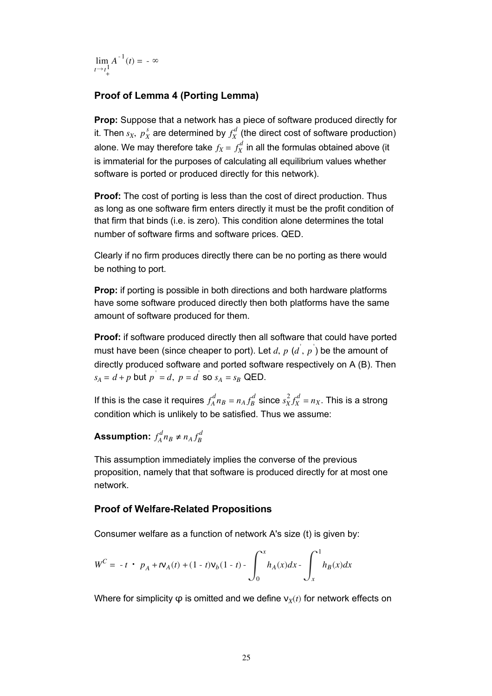lim  $t \rightarrow t^{\perp}_{+}$  $A_1^{\mathbf{1}}A^{-1}(t) = -\infty$ 

### **Proof of Lemma 4 (Porting Lemma)**

**Prop:** Suppose that a network has a piece of software produced directly for it. Then  $s_X$ ,  $p_X^s$  are determined by  $f_X^d$  (the direct cost of software production) alone. We may therefore take  $f_X = f_X^d$  in all the formulas obtained above (it is immaterial for the purposes of calculating all equilibrium values whether software is ported or produced directly for this network).

**Proof:** The cost of porting is less than the cost of direct production. Thus as long as one software firm enters directly it must be the profit condition of that firm that binds (i.e. is zero). This condition alone determines the total number of software firms and software prices. QED.

Clearly if no firm produces directly there can be no porting as there would be nothing to port.

**Prop:** if porting is possible in both directions and both hardware platforms have some software produced directly then both platforms have the same amount of software produced for them.

**Proof:** if software produced directly then all software that could have ported must have been (since cheaper to port). Let  $d$ ,  $p$   $(d^{'}, p^{'})$  be the amount of directly produced software and ported software respectively on A (B). Then  $s_A = d + p$  but  $p' = d$ ,  $p = d'$  so  $s_A = s_B$  QED.

If this is the case it requires  $f_A^d n_B = n_A f_B^d$  since  $s_X^2 f_X^d = n_X.$  This is a strong condition which is unlikely to be satisfied. Thus we assume:

### Assumption:  $f_A^d n_B \neq n_A f_B^d$

This assumption immediately implies the converse of the previous proposition, namely that that software is produced directly for at most one network.

### **Proof of Welfare-Related Propositions**

Consumer welfare as a function of network A's size (t) is given by:

$$
W^{C} = -t \cdot p_{A} + t \mathbf{V}_{A}(t) + (1-t) \mathbf{V}_{b}(1-t) - \int_{0}^{x} h_{A}(x) dx - \int_{x}^{1} h_{B}(x) dx
$$

Where for simplicity  $\varphi$  is omitted and we define  $v_X(t)$  for network effects on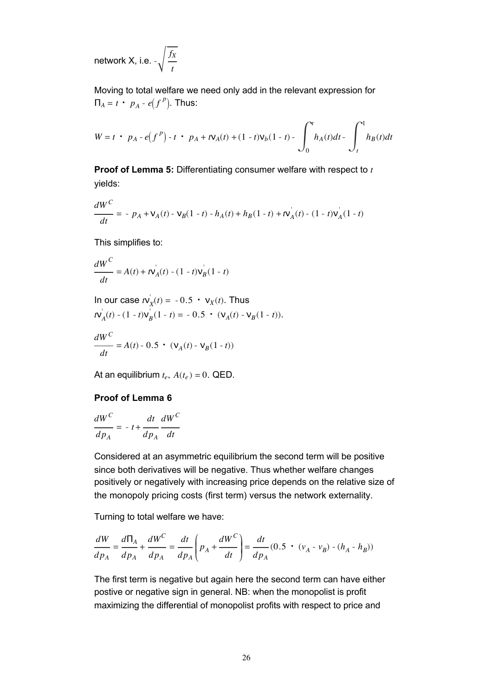network X, i.e. - *fX t*  $\overline{1}$ 

Moving to total welfare we need only add in the relevant expression for  $\Pi_A = t \cdot p_A - e(f^P)$ . Thus:

$$
W = t \cdot p_A - e(f^P) - t \cdot p_A + t \nu_A(t) + (1 - t) \nu_b (1 - t) - \int_0^t h_A(t) dt - \int_t^1 h_B(t) dt
$$

**Proof of Lemma 5:** Differentiating consumer welfare with respect to *t* yields:

$$
\frac{dW^C}{dt} = -p_A + \mathbf{V}_A(t) - \mathbf{V}_B(1-t) - h_A(t) + h_B(1-t) + t\mathbf{V}_A(t) - (1-t)\mathbf{V}_A(1-t)
$$

This simplifies to:

$$
\frac{dW^{C}}{dt} = A(t) + t\mathbf{v}_{A}'(t) - (1 - t)\mathbf{v}_{B}'(1 - t)
$$

In our case  $t\nu_X'(t) = -0.5 \cdot \nu_X(t)$ . Thus  $t$ **v**<sup>*A*</sup><sub>*A*</sub>(*t*) - (1 - *t*)**v**<sub>*B*</sub><sup> $A$ </sup>(1 - *t*) = - 0.5 • (**v**<sub>*A*</sub>(*t*) - **v**<sub>*B*</sub>(1 - *t*)).

$$
\frac{dW^C}{dt} = A(t) - 0.5 \cdot (\mathbf{V}_A(t) - \mathbf{V}_B(1 - t))
$$

At an equilibrium  $t_e$ ,  $A(t_e) = 0$ . QED.

### **Proof of Lemma 6**

$$
\frac{dW^C}{dp_A} = -t + \frac{dt}{dp_A}\frac{dW^C}{dt}
$$

Considered at an asymmetric equilibrium the second term will be positive since both derivatives will be negative. Thus whether welfare changes positively or negatively with increasing price depends on the relative size of the monopoly pricing costs (first term) versus the network externality.

Turning to total welfare we have:

$$
\frac{dW}{dp_A} = \frac{d\Pi_A}{dp_A} + \frac{dW^C}{dp_A} = \frac{dt}{dp_A} \left( p_A + \frac{dW^C}{dt} \right) = \frac{dt}{dp_A} (0.5 \cdot (v_A - v_B) - (h_A - h_B))
$$

The first term is negative but again here the second term can have either postive or negative sign in general. NB: when the monopolist is profit maximizing the differential of monopolist profits with respect to price and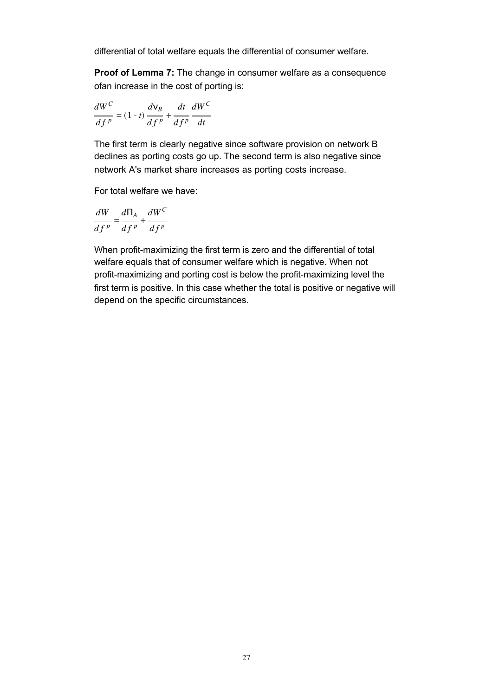differential of total welfare equals the differential of consumer welfare.

**Proof of Lemma 7:** The change in consumer welfare as a consequence ofan increase in the cost of porting is:

$$
\frac{dW^C}{df^p} = (1-t)\frac{dV_B}{df^p} + \frac{dt}{df^p}\frac{dW^C}{dt}
$$

The first term is clearly negative since software provision on network B declines as porting costs go up. The second term is also negative since network A's market share increases as porting costs increase.

For total welfare we have:

$$
\frac{dW}{df^p} = \frac{d\Pi_A}{df^p} + \frac{dW^C}{df^p}
$$

When profit-maximizing the first term is zero and the differential of total welfare equals that of consumer welfare which is negative. When not profit-maximizing and porting cost is below the profit-maximizing level the first term is positive. In this case whether the total is positive or negative will depend on the specific circumstances.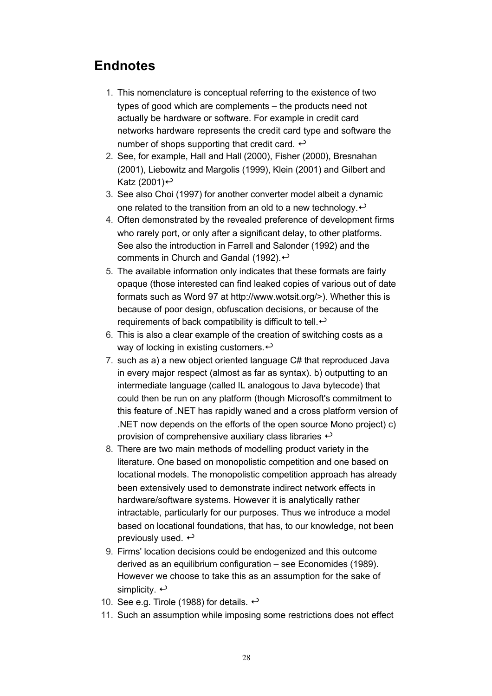# **Endnotes**

- 1. This nomenclature is conceptual referring to the existence of two types of good which are complements – the products need not actually be hardware or software. For example in credit card networks hardware represents the credit card type and software the number of shops supporting that credit card.  $\leftrightarrow$
- 2. See, for example, Hall and Hall (2000), Fisher (2000), Bresnahan (2001), Liebowitz and Margolis (1999), Klein (2001) and Gilbert and Katz (2001) $\leftrightarrow$
- See also Choi (1997) for another converter model albeit a dynamic 3. one related to the transition from an old to a new technology.  $\leftrightarrow$
- Often demonstrated by the revealed preference of development firms 4. who rarely port, or only after a significant delay, to other platforms. See also the introduction in Farrell and Salonder (1992) and the comments in Church and Gandal (1992). $\leftrightarrow$
- 5. The available information only indicates that these formats are fairly opaque (those interested can find leaked copies of various out of date formats such as Word 97 at http://www.wotsit.org/>). Whether this is because of poor design, obfuscation decisions, or because of the requirements of back compatibility is difficult to tell.  $\leftrightarrow$
- 6. This is also a clear example of the creation of switching costs as a way of locking in existing customers. $\leftrightarrow$
- 7. such as a) a new object oriented language C# that reproduced Java in every major respect (almost as far as syntax). b) outputting to an intermediate language (called IL analogous to Java bytecode) that could then be run on any platform (though Microsoft's commitment to this feature of .NET has rapidly waned and a cross platform version of .NET now depends on the efforts of the open source Mono project) c) provision of comprehensive auxiliary class libraries  $\leftrightarrow$
- There are two main methods of modelling product variety in the 8. literature. One based on monopolistic competition and one based on locational models. The monopolistic competition approach has already been extensively used to demonstrate indirect network effects in hardware/software systems. However it is analytically rather intractable, particularly for our purposes. Thus we introduce a model based on locational foundations, that has, to our knowledge, not been previously used.  $\leftrightarrow$
- 9. Firms' location decisions could be endogenized and this outcome derived as an equilibrium configuration – see Economides (1989). However we choose to take this as an assumption for the sake of simplicity.  $\leftrightarrow$
- 10. See e.g. Tirole (1988) for details.  $\leftrightarrow$
- 11. Such an assumption while imposing some restrictions does not effect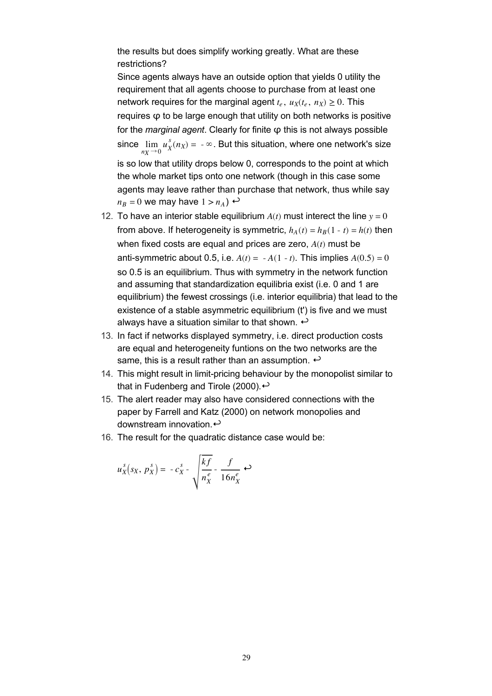the results but does simplify working greatly. What are these restrictions?

Since agents always have an outside option that yields 0 utility the requirement that all agents choose to purchase from at least one network requires for the marginal agent  $t_e$ ,  $u_X(t_e, n_X) \geq 0$ . This requires φ to be large enough that utility on both networks is positive for the *marginal agent*. Clearly for finite φ this is not always possible since lim  $\lim_{n_X \to 0} u_X^s(n_X) = -\infty$ . But this situation, where one network's size is so low that utility drops below 0, corresponds to the point at which the whole market tips onto one network (though in this case some agents may leave rather than purchase that network, thus while say  $n_B = 0$  we may have  $1 > n_A$ )  $\leftrightarrow$ 

- 12. To have an interior stable equilibrium  $A(t)$  must interect the line  $y = 0$ from above. If heterogeneity is symmetric,  $h_A(t) = h_B(1 - t) = h(t)$  then when fixed costs are equal and prices are zero, *A*(*t*) must be anti-symmetric about 0.5, i.e.  $A(t) = -A(1 - t)$ . This implies  $A(0.5) = 0$ so 0.5 is an equilibrium. Thus with symmetry in the network function and assuming that standardization equilibria exist (i.e. 0 and 1 are equilibrium) the fewest crossings (i.e. interior equilibria) that lead to the existence of a stable asymmetric equilibrium (t) is five and we must always have a situation similar to that shown.  $\leftrightarrow$
- 13. In fact if networks displayed symmetry, i.e. direct production costs are equal and heterogeneity funtions on the two networks are the same, this is a result rather than an assumption.  $\leftrightarrow$
- 14. This might result in limit-pricing behaviour by the monopolist similar to that in Fudenberg and Tirole (2000). $\leftrightarrow$
- 15. The alert reader may also have considered connections with the paper by Farrell and Katz (2000) on network monopolies and downstream innovation. $\leftrightarrow$
- 16. The result for the quadratic distance case would be:

$$
u_X^s(s_X, p_X^s) = -c_X^s - \sqrt{\frac{kf}{n_X^e}} - \frac{f}{16n_X^e} \leftrightarrow
$$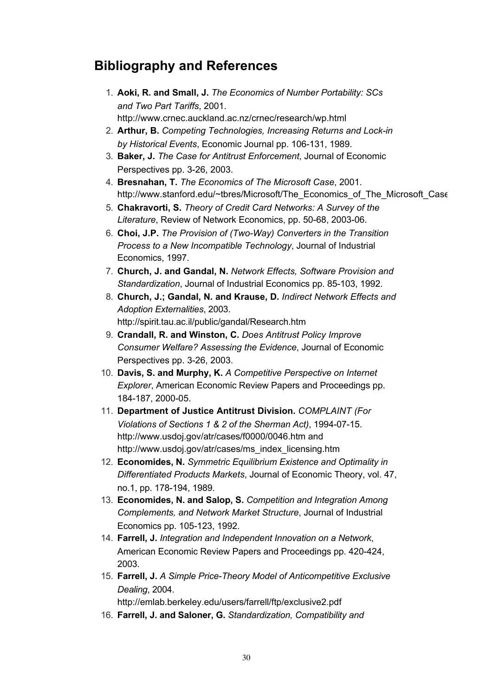# **Bibliography and References**

- **Aoki, R. and Small, J.** *The Economics of Number Portability: SCs*  1. *and Two Part Tariffs*, 2001. http://www.crnec.auckland.ac.nz/crnec/research/wp.html
- **Arthur, B.** *Competing Technologies, Increasing Returns and Lock-in*  2. *by Historical Events*, Economic Journal pp. 106-131, 1989.
- **Baker, J.** *The Case for Antitrust Enforcement*, Journal of Economic 3. Perspectives pp. 3-26, 2003.
- **Bresnahan, T.** *The Economics of The Microsoft Case*, 2001. 4. http://www.stanford.edu/~tbres/Microsoft/The\_Economics\_of\_The\_Microsoft\_Case
- **Chakravorti, S.** *Theory of Credit Card Networks: A Survey of the*  5. *Literature*, Review of Network Economics, pp. 50-68, 2003-06.
- **Choi, J.P.** *The Provision of (Two-Way) Converters in the Transition*  6. *Process to a New Incompatible Technology*, Journal of Industrial Economics, 1997.
- **Church, J. and Gandal, N.** *Network Effects, Software Provision and*  7. *Standardization*, Journal of Industrial Economics pp. 85-103, 1992.
- **Church, J.; Gandal, N. and Krause, D.** *Indirect Network Effects and*  8. *Adoption Externalities*, 2003. http://spirit.tau.ac.il/public/gandal/Research.htm
- **Crandall, R. and Winston, C.** *Does Antitrust Policy Improve*  9. *Consumer Welfare? Assessing the Evidence*, Journal of Economic Perspectives pp. 3-26, 2003.
- **Davis, S. and Murphy, K.** *A Competitive Perspective on Internet*  10. *Explorer*, American Economic Review Papers and Proceedings pp. 184-187, 2000-05.
- **Department of Justice Antitrust Division.** *COMPLAINT (For*  11. *Violations of Sections 1 & 2 of the Sherman Act)*, 1994-07-15. http://www.usdoj.gov/atr/cases/f0000/0046.htm and http://www.usdoj.gov/atr/cases/ms\_index\_licensing.htm
- **Economides, N.** *Symmetric Equilibrium Existence and Optimality in*  12. *Differentiated Products Markets*, Journal of Economic Theory, vol. 47, no.1, pp. 178-194, 1989.
- **Economides, N. and Salop, S.** *Competition and Integration Among*  13. *Complements, and Network Market Structure*, Journal of Industrial Economics pp. 105-123, 1992.
- **Farrell, J.** *Integration and Independent Innovation on a Network*, 14. American Economic Review Papers and Proceedings pp. 420-424, 2003.
- **Farrell, J.** *A Simple Price-Theory Model of Anticompetitive Exclusive*  15. *Dealing*, 2004. http://emlab.berkeley.edu/users/farrell/ftp/exclusive2.pdf
- 16. **Farrell, J. and Saloner, G.** *Standardization, Compatibility and*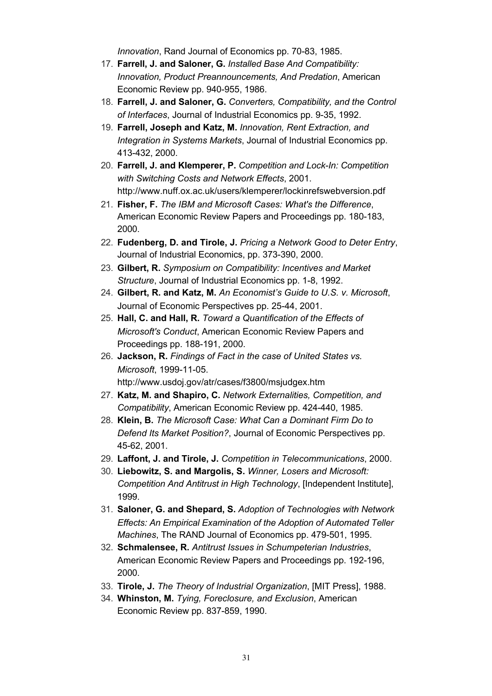*Innovation*, Rand Journal of Economics pp. 70-83, 1985.

- **Farrell, J. and Saloner, G.** *Installed Base And Compatibility:*  17. *Innovation, Product Preannouncements, And Predation*, American Economic Review pp. 940-955, 1986.
- **Farrell, J. and Saloner, G.** *Converters, Compatibility, and the Control*  18. *of Interfaces*, Journal of Industrial Economics pp. 9-35, 1992.
- **Farrell, Joseph and Katz, M.** *Innovation, Rent Extraction, and*  19. *Integration in Systems Markets*, Journal of Industrial Economics pp. 413-432, 2000.
- **Farrell, J. and Klemperer, P.** *Competition and Lock-In: Competition*  20. *with Switching Costs and Network Effects*, 2001. http://www.nuff.ox.ac.uk/users/klemperer/lockinrefswebversion.pdf
- **Fisher, F.** *The IBM and Microsoft Cases: What's the Difference*, 21. American Economic Review Papers and Proceedings pp. 180-183, 2000.
- **Fudenberg, D. and Tirole, J.** *Pricing a Network Good to Deter Entry*, 22. Journal of Industrial Economics, pp. 373-390, 2000.
- **Gilbert, R.** *Symposium on Compatibility: Incentives and Market*  23. *Structure*, Journal of Industrial Economics pp. 1-8, 1992.
- **Gilbert, R. and Katz, M.** *An Economist's Guide to U.S. v. Microsoft*, 24. Journal of Economic Perspectives pp. 25-44, 2001.
- **Hall, C. and Hall, R.** *Toward a Quantification of the Effects of*  25. *Microsoft's Conduct*, American Economic Review Papers and Proceedings pp. 188-191, 2000.
- **Jackson, R.** *Findings of Fact in the case of United States vs.*  26. *Microsoft*, 1999-11-05. http://www.usdoj.gov/atr/cases/f3800/msjudgex.htm
- **Katz, M. and Shapiro, C.** *Network Externalities, Competition, and*  27. *Compatibility*, American Economic Review pp. 424-440, 1985.
- **Klein, B.** *The Microsoft Case: What Can a Dominant Firm Do to*  28. *Defend Its Market Position?*, Journal of Economic Perspectives pp. 45-62, 2001.
- 29. **Laffont, J. and Tirole, J.** *Competition in Telecommunications*, 2000.
- **Liebowitz, S. and Margolis, S.** *Winner, Losers and Microsoft:*  30. *Competition And Antitrust in High Technology*, [Independent Institute], 1999.
- **Saloner, G. and Shepard, S.** *Adoption of Technologies with Network*  31. *Effects: An Empirical Examination of the Adoption of Automated Teller Machines*, The RAND Journal of Economics pp. 479-501, 1995.
- **Schmalensee, R.** *Antitrust Issues in Schumpeterian Industries*, 32. American Economic Review Papers and Proceedings pp. 192-196, 2000.
- 33. **Tirole, J.** *The Theory of Industrial Organization*, [MIT Press], 1988.
- **Whinston, M.** *Tying, Foreclosure, and Exclusion*, American 34.Economic Review pp. 837-859, 1990.